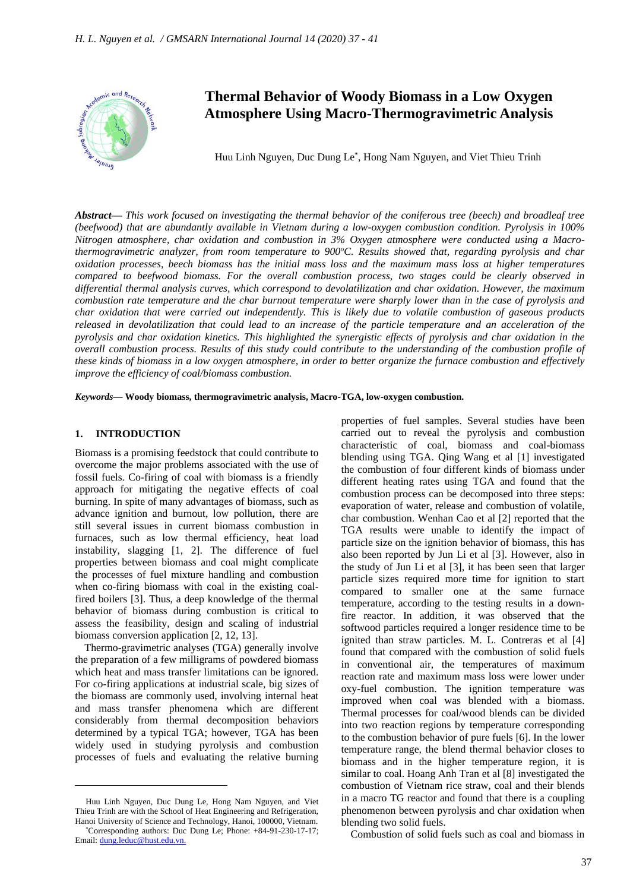

# **Thermal Behavior of Woody Biomass in a Low Oxygen Atmosphere Using Macro-Thermogravimetric Analysis**

Huu Linh Nguyen, Duc Dung Le\* , Hong Nam Nguyen, and Viet Thieu Trinh

*Abstract***—** *This work focused on investigating the thermal behavior of the coniferous tree (beech) and broadleaf tree (beefwood) that are abundantly available in Vietnam during a low-oxygen combustion condition. Pyrolysis in 100% Nitrogen atmosphere, char oxidation and combustion in 3% Oxygen atmosphere were conducted using a Macrothermogravimetric analyzer, from room temperature to 900<sup>o</sup>C. Results showed that, regarding pyrolysis and char oxidation processes, beech biomass has the initial mass loss and the maximum mass loss at higher temperatures compared to beefwood biomass. For the overall combustion process, two stages could be clearly observed in differential thermal analysis curves, which correspond to devolatilization and char oxidation. However, the maximum combustion rate temperature and the char burnout temperature were sharply lower than in the case of pyrolysis and char oxidation that were carried out independently. This is likely due to volatile combustion of gaseous products released in devolatilization that could lead to an increase of the particle temperature and an acceleration of the pyrolysis and char oxidation kinetics. This highlighted the synergistic effects of pyrolysis and char oxidation in the overall combustion process. Results of this study could contribute to the understanding of the combustion profile of these kinds of biomass in a low oxygen atmosphere, in order to better organize the furnace combustion and effectively improve the efficiency of coal/biomass combustion.*

*Keywords***— Woody biomass, thermogravimetric analysis, Macro-TGA, low-oxygen combustion.**

#### **1. INTRODUCTION**

Biomass is a promising feedstock that could contribute to overcome the major problems associated with the use of fossil fuels. Co-firing of coal with biomass is a friendly approach for mitigating the negative effects of coal burning. In spite of many advantages of biomass, such as advance ignition and burnout, low pollution, there are still several issues in current biomass combustion in furnaces, such as low thermal efficiency, heat load instability, slagging [1, 2]. The difference of fuel properties between biomass and coal might complicate the processes of fuel mixture handling and combustion when co-firing biomass with coal in the existing coalfired boilers [3]. Thus, a deep knowledge of the thermal behavior of biomass during combustion is critical to assess the feasibility, design and scaling of industrial biomass conversion application [2, 12, 13].

Thermo-gravimetric analyses (TGA) generally involve the preparation of a few milligrams of powdered biomass which heat and mass transfer limitations can be ignored. For co-firing applications at industrial scale, big sizes of the biomass are commonly used, involving internal heat and mass transfer phenomena which are different considerably from thermal decomposition behaviors determined by a typical TGA; however, TGA has been widely used in studying pyrolysis and combustion processes of fuels and evaluating the relative burning

properties of fuel samples. Several studies have been carried out to reveal the pyrolysis and combustion characteristic of coal, biomass and coal-biomass blending using TGA. Qing Wang et al [1] investigated the combustion of four different kinds of biomass under different heating rates using TGA and found that the combustion process can be decomposed into three steps: evaporation of water, release and combustion of volatile, char combustion. Wenhan Cao et al [2] reported that the TGA results were unable to identify the impact of particle size on the ignition behavior of biomass, this has also been reported by Jun Li et al [3]. However, also in the study of Jun Li et al [3], it has been seen that larger particle sizes required more time for ignition to start compared to smaller one at the same furnace temperature, according to the testing results in a downfire reactor. In addition, it was observed that the softwood particles required a longer residence time to be ignited than straw particles. M. L. Contreras et al [4] found that compared with the combustion of solid fuels in conventional air, the temperatures of maximum reaction rate and maximum mass loss were lower under oxy-fuel combustion. The ignition temperature was improved when coal was blended with a biomass. Thermal processes for coal/wood blends can be divided into two reaction regions by temperature corresponding to the combustion behavior of pure fuels [6]. In the lower temperature range, the blend thermal behavior closes to biomass and in the higher temperature region, it is similar to coal. Hoang Anh Tran et al [8] investigated the combustion of Vietnam rice straw, coal and their blends in a macro TG reactor and found that there is a coupling phenomenon between pyrolysis and char oxidation when blending two solid fuels.

Combustion of solid fuels such as coal and biomass in

Huu Linh Nguyen, Duc Dung Le, Hong Nam Nguyen, and Viet Thieu Trinh are with the School of Heat Engineering and Refrigeration, Hanoi University of Science and Technology, Hanoi, 100000, Vietnam.

<sup>\*</sup>Corresponding authors: Duc Dung Le; Phone: +84-91-230-17-17; Email[: dung.leduc@hust.edu.vn.](mailto:dung.leduc@hust.edu.vn)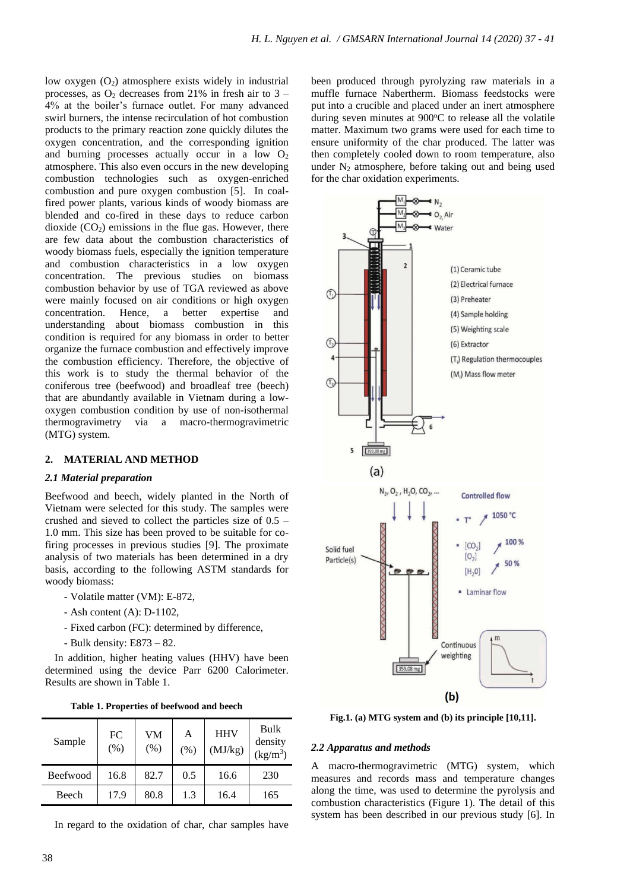low oxygen  $(O_2)$  atmosphere exists widely in industrial processes, as  $O_2$  decreases from 21% in fresh air to 3 – 4% at the boiler's furnace outlet. For many advanced swirl burners, the intense recirculation of hot combustion products to the primary reaction zone quickly dilutes the oxygen concentration, and the corresponding ignition and burning processes actually occur in a low  $O<sub>2</sub>$ atmosphere. This also even occurs in the new developing combustion technologies such as oxygen-enriched combustion and pure oxygen combustion [5]. In coalfired power plants, various kinds of woody biomass are blended and co-fired in these days to reduce carbon dioxide  $(CO<sub>2</sub>)$  emissions in the flue gas. However, there are few data about the combustion characteristics of woody biomass fuels, especially the ignition temperature and combustion characteristics in a low oxygen concentration. The previous studies on biomass combustion behavior by use of TGA reviewed as above were mainly focused on air conditions or high oxygen concentration. Hence, a better expertise and understanding about biomass combustion in this condition is required for any biomass in order to better organize the furnace combustion and effectively improve the combustion efficiency. Therefore, the objective of this work is to study the thermal behavior of the coniferous tree (beefwood) and broadleaf tree (beech) that are abundantly available in Vietnam during a lowoxygen combustion condition by use of non-isothermal thermogravimetry via a macro-thermogravimetric (MTG) system.

# **2. MATERIAL AND METHOD**

### *2.1 Material preparation*

Beefwood and beech, widely planted in the North of Vietnam were selected for this study. The samples were crushed and sieved to collect the particles size of 0.5 – 1.0 mm. This size has been proved to be suitable for cofiring processes in previous studies [9]. The proximate analysis of two materials has been determined in a dry basis, according to the following ASTM standards for woody biomass:

- Volatile matter (VM): E-872,
- Ash content (A): D-1102,
- Fixed carbon (FC): determined by difference,
- Bulk density: E873 82.

In addition, higher heating values (HHV) have been determined using the device Parr 6200 Calorimeter. Results are shown in Table 1.

**Table 1. Properties of beefwood and beech**

| Sample   | FC<br>(% ) | VM<br>(% ) | А<br>(% ) | <b>HHV</b><br>(MJ/kg) | Bulk<br>density<br>$(kg/m^3)$ |
|----------|------------|------------|-----------|-----------------------|-------------------------------|
| Beefwood | 16.8       | 82.7       | 0.5       | 16.6                  | 230                           |
| Beech    | 17.9       | 80.8       | 1.3       | 16.4                  | 165                           |

In regard to the oxidation of char, char samples have

been produced through pyrolyzing raw materials in a muffle furnace Nabertherm. Biomass feedstocks were put into a crucible and placed under an inert atmosphere during seven minutes at 900°C to release all the volatile matter. Maximum two grams were used for each time to ensure uniformity of the char produced. The latter was then completely cooled down to room temperature, also under  $N_2$  atmosphere, before taking out and being used for the char oxidation experiments.



**Fig.1. (a) MTG system and (b) its principle [10,11].**

### *2.2 Apparatus and methods*

A macro-thermogravimetric (MTG) system, which measures and records mass and temperature changes along the time, was used to determine the pyrolysis and combustion characteristics (Figure 1). The detail of this system has been described in our previous study [6]. In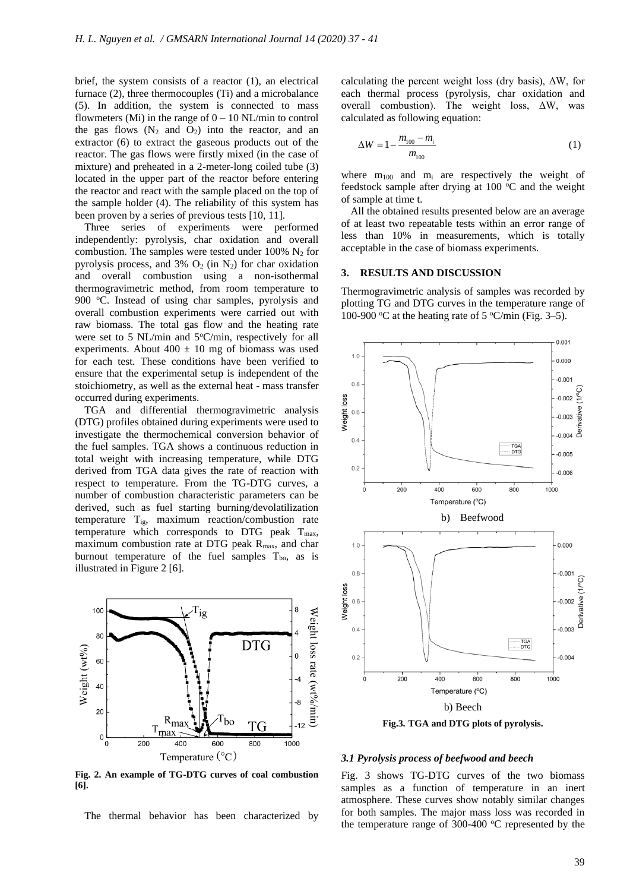brief, the system consists of a reactor (1), an electrical furnace (2), three thermocouples (Ti) and a microbalance (5). In addition, the system is connected to mass flowmeters (Mi) in the range of  $0 - 10$  NL/min to control the gas flows  $(N_2 \text{ and } O_2)$  into the reactor, and an extractor (6) to extract the gaseous products out of the reactor. The gas flows were firstly mixed (in the case of mixture) and preheated in a 2-meter-long coiled tube (3) located in the upper part of the reactor before entering the reactor and react with the sample placed on the top of the sample holder (4). The reliability of this system has been proven by a series of previous tests [10, 11].

Three series of experiments were performed independently: pyrolysis, char oxidation and overall combustion. The samples were tested under  $100\%$  N<sub>2</sub> for pyrolysis process, and 3%  $O_2$  (in N<sub>2</sub>) for char oxidation and overall combustion using a non-isothermal thermogravimetric method, from room temperature to 900 °C. Instead of using char samples, pyrolysis and overall combustion experiments were carried out with raw biomass. The total gas flow and the heating rate were set to 5 NL/min and  $5^{\circ}$ C/min, respectively for all experiments. About  $400 \pm 10$  mg of biomass was used for each test. These conditions have been verified to ensure that the experimental setup is independent of the stoichiometry, as well as the external heat - mass transfer occurred during experiments.

TGA and differential thermogravimetric analysis (DTG) profiles obtained during experiments were used to investigate the thermochemical conversion behavior of the fuel samples. TGA shows a continuous reduction in total weight with increasing temperature, while DTG derived from TGA data gives the rate of reaction with respect to temperature. From the TG-DTG curves, a number of combustion characteristic parameters can be derived, such as fuel starting burning/devolatilization temperature Tig, maximum reaction/combustion rate temperature which corresponds to DTG peak  $T_{\text{max}}$ , maximum combustion rate at DTG peak  $R_{\text{max}}$ , and char burnout temperature of the fuel samples  $T_{bo}$ , as is illustrated in Figure 2 [6].



**Fig. 2. An example of TG-DTG curves of coal combustion [6].**

The thermal behavior has been characterized by

calculating the percent weight loss (dry basis), ΔW, for each thermal process (pyrolysis, char oxidation and overall combustion). The weight loss, ΔW, was calculated as following equation:

$$
\Delta W = 1 - \frac{m_{100} - m_i}{m_{100}} \tag{1}
$$

where  $m_{100}$  and  $m_i$  are respectively the weight of feedstock sample after drying at 100  $^{\circ}$ C and the weight of sample at time t.

All the obtained results presented below are an average of at least two repeatable tests within an error range of less than 10% in measurements, which is totally acceptable in the case of biomass experiments.

#### **3. RESULTS AND DISCUSSION**

Thermogravimetric analysis of samples was recorded by plotting TG and DTG curves in the temperature range of 100-900 °C at the heating rate of 5 °C/min (Fig. 3–5).



*3.1 Pyrolysis process of beefwood and beech*

Fig. 3 shows TG-DTG curves of the two biomass samples as a function of temperature in an inert atmosphere. These curves show notably similar changes for both samples. The major mass loss was recorded in the temperature range of  $300-400$  °C represented by the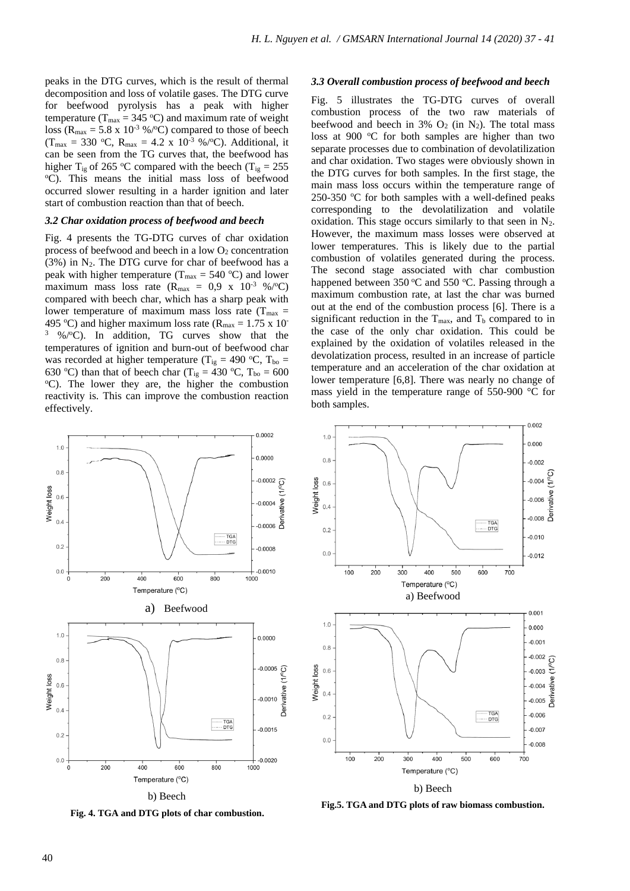peaks in the DTG curves, which is the result of thermal decomposition and loss of volatile gases. The DTG curve for beefwood pyrolysis has a peak with higher temperature ( $T_{\text{max}} = 345 \text{ °C}$ ) and maximum rate of weight loss ( $R_{\text{max}} = 5.8 \times 10^{-3}$  %/°C) compared to those of beech  $(T_{\text{max}} = 330 \text{ °C}, R_{\text{max}} = 4.2 \text{ x } 10^{-3} \text{ %} / \text{°C}$ . Additional, it can be seen from the TG curves that, the beefwood has higher T<sub>ig</sub> of 265 °C compared with the beech (T<sub>ig</sub> = 255) <sup>o</sup>C). This means the initial mass loss of beefwood occurred slower resulting in a harder ignition and later start of combustion reaction than that of beech.

#### *3.2 Char oxidation process of beefwood and beech*

Fig. 4 presents the TG-DTG curves of char oxidation process of beefwood and beech in a low  $O_2$  concentration  $(3%)$  in N<sub>2</sub>. The DTG curve for char of beefwood has a peak with higher temperature ( $T_{\text{max}} = 540 \text{ °C}$ ) and lower maximum mass loss rate ( $R_{\text{max}} = 0.9 \text{ x } 10^{-3}$  %/°C) compared with beech char, which has a sharp peak with lower temperature of maximum mass loss rate ( $T_{\text{max}}$  = 495 °C) and higher maximum loss rate ( $R_{\text{max}} = 1.75 \times 10^{-7}$  $3\%$ / $\degree$ C). In addition, TG curves show that the temperatures of ignition and burn-out of beefwood char was recorded at higher temperature (T<sub>ig</sub> = 490 °C, T<sub>bo</sub> = 630 °C) than that of beech char (T<sub>ig</sub> = 430 °C, T<sub>bo</sub> = 600  $\degree$ C). The lower they are, the higher the combustion reactivity is. This can improve the combustion reaction effectively.

#### *3.3 Overall combustion process of beefwood and beech*

Fig. 5 illustrates the TG-DTG curves of overall combustion process of the two raw materials of beefwood and beech in  $3\%$  O<sub>2</sub> (in N<sub>2</sub>). The total mass loss at 900  $\degree$ C for both samples are higher than two separate processes due to combination of devolatilization and char oxidation. Two stages were obviously shown in the DTG curves for both samples. In the first stage, the main mass loss occurs within the temperature range of 250-350  $\degree$ C for both samples with a well-defined peaks corresponding to the devolatilization and volatile oxidation. This stage occurs similarly to that seen in  $N_2$ . However, the maximum mass losses were observed at lower temperatures. This is likely due to the partial combustion of volatiles generated during the process. The second stage associated with char combustion happened between  $350^{\circ}$ C and  $550^{\circ}$ C. Passing through a maximum combustion rate, at last the char was burned out at the end of the combustion process [6]. There is a significant reduction in the  $T_{\text{max}}$ , and  $T_b$  compared to in the case of the only char oxidation. This could be explained by the oxidation of volatiles released in the devolatization process, resulted in an increase of particle temperature and an acceleration of the char oxidation at lower temperature [6,8]. There was nearly no change of mass yield in the temperature range of 550-900 °C for both samples.



**Fig. 4. TGA and DTG plots of char combustion.**

**Fig.5. TGA and DTG plots of raw biomass combustion.**